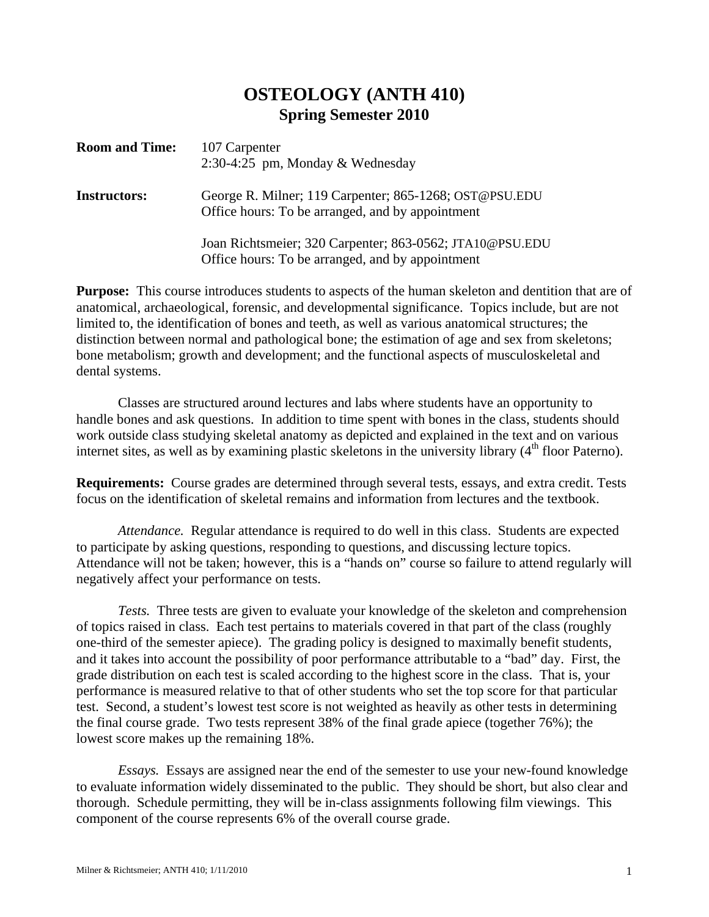## **OSTEOLOGY (ANTH 410) Spring Semester 2010**

| <b>Room and Time:</b> | 107 Carpenter<br>2:30-4:25 pm, Monday & Wednesday                                                            |
|-----------------------|--------------------------------------------------------------------------------------------------------------|
| <b>Instructors:</b>   | George R. Milner; 119 Carpenter; 865-1268; OST@PSU.EDU<br>Office hours: To be arranged, and by appointment   |
|                       | Joan Richtsmeier; 320 Carpenter; 863-0562; JTA10@PSU.EDU<br>Office hours: To be arranged, and by appointment |

**Purpose:** This course introduces students to aspects of the human skeleton and dentition that are of anatomical, archaeological, forensic, and developmental significance. Topics include, but are not limited to, the identification of bones and teeth, as well as various anatomical structures; the distinction between normal and pathological bone; the estimation of age and sex from skeletons; bone metabolism; growth and development; and the functional aspects of musculoskeletal and dental systems.

 Classes are structured around lectures and labs where students have an opportunity to handle bones and ask questions. In addition to time spent with bones in the class, students should work outside class studying skeletal anatomy as depicted and explained in the text and on various internet sites, as well as by examining plastic skeletons in the university library  $(4<sup>th</sup>$  floor Paterno).

**Requirements:** Course grades are determined through several tests, essays, and extra credit. Tests focus on the identification of skeletal remains and information from lectures and the textbook.

*Attendance.* Regular attendance is required to do well in this class. Students are expected to participate by asking questions, responding to questions, and discussing lecture topics. Attendance will not be taken; however, this is a "hands on" course so failure to attend regularly will negatively affect your performance on tests.

*Tests.* Three tests are given to evaluate your knowledge of the skeleton and comprehension of topics raised in class. Each test pertains to materials covered in that part of the class (roughly one-third of the semester apiece). The grading policy is designed to maximally benefit students, and it takes into account the possibility of poor performance attributable to a "bad" day. First, the grade distribution on each test is scaled according to the highest score in the class. That is, your performance is measured relative to that of other students who set the top score for that particular test. Second, a student's lowest test score is not weighted as heavily as other tests in determining the final course grade. Two tests represent 38% of the final grade apiece (together 76%); the lowest score makes up the remaining 18%.

*Essays.* Essays are assigned near the end of the semester to use your new-found knowledge to evaluate information widely disseminated to the public. They should be short, but also clear and thorough. Schedule permitting, they will be in-class assignments following film viewings. This component of the course represents 6% of the overall course grade.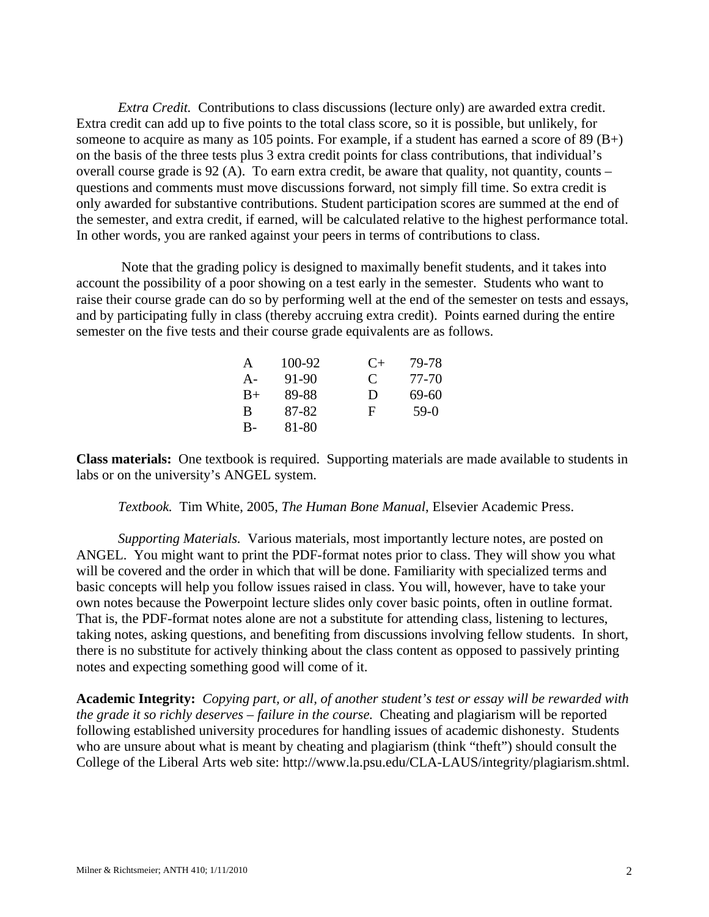*Extra Credit.* Contributions to class discussions (lecture only) are awarded extra credit. Extra credit can add up to five points to the total class score, so it is possible, but unlikely, for someone to acquire as many as 105 points. For example, if a student has earned a score of 89  $(B+)$ on the basis of the three tests plus 3 extra credit points for class contributions, that individual's overall course grade is 92 (A). To earn extra credit, be aware that quality, not quantity, counts – questions and comments must move discussions forward, not simply fill time. So extra credit is only awarded for substantive contributions. Student participation scores are summed at the end of the semester, and extra credit, if earned, will be calculated relative to the highest performance total. In other words, you are ranked against your peers in terms of contributions to class.

 Note that the grading policy is designed to maximally benefit students, and it takes into account the possibility of a poor showing on a test early in the semester. Students who want to raise their course grade can do so by performing well at the end of the semester on tests and essays, and by participating fully in class (thereby accruing extra credit). Points earned during the entire semester on the five tests and their course grade equivalents are as follows.

| A     | 100-92 | $C+$ | 79-78 |
|-------|--------|------|-------|
| $A -$ | 91-90  | C    | 77-70 |
| $B+$  | 89-88  | D    | 69-60 |
| B     | 87-82  | F    | 59-0  |
| $B -$ | 81-80  |      |       |

**Class materials:** One textbook is required. Supporting materials are made available to students in labs or on the university's ANGEL system.

*Textbook.*Tim White, 2005, *The Human Bone Manual*, Elsevier Academic Press.

*Supporting Materials.* Various materials, most importantly lecture notes, are posted on ANGEL. You might want to print the PDF-format notes prior to class. They will show you what will be covered and the order in which that will be done. Familiarity with specialized terms and basic concepts will help you follow issues raised in class. You will, however, have to take your own notes because the Powerpoint lecture slides only cover basic points, often in outline format. That is, the PDF-format notes alone are not a substitute for attending class, listening to lectures, taking notes, asking questions, and benefiting from discussions involving fellow students. In short, there is no substitute for actively thinking about the class content as opposed to passively printing notes and expecting something good will come of it.

**Academic Integrity:** *Copying part, or all, of another student's test or essay will be rewarded with the grade it so richly deserves – failure in the course.* Cheating and plagiarism will be reported following established university procedures for handling issues of academic dishonesty. Students who are unsure about what is meant by cheating and plagiarism (think "theft") should consult the College of the Liberal Arts web site: http://www.la.psu.edu/CLA-LAUS/integrity/plagiarism.shtml.